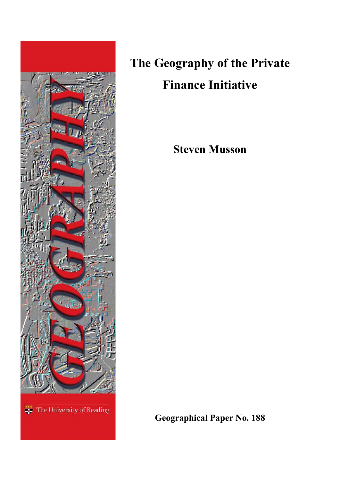

# **The Geography of the Private Finance Initiative**

**Steven Musson**

**Geographical Paper No. 188**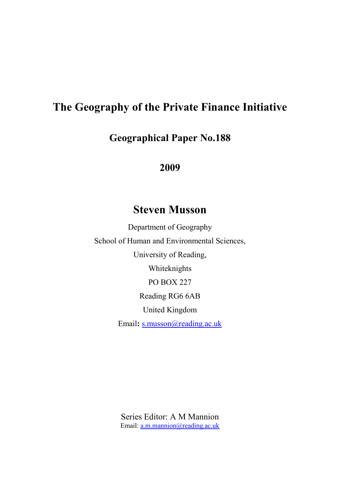# **The Geography of the Private Finance Initiative**

**Geographical Paper No.188**

**2009**

# **Steven Musson**

Department of Geography School of Human and Environmental Sciences, University of Reading, Whiteknights PO BOX 227 Reading RG6 6AB United Kingdom Email: [s.musson@reading.ac.uk](mailto:s.musson@reading.ac.uk)

> Series Editor: A M Mannion Email: [a.m.mannion@reading.ac.uk](mailto:a.m.mannion@reading.ac.uk)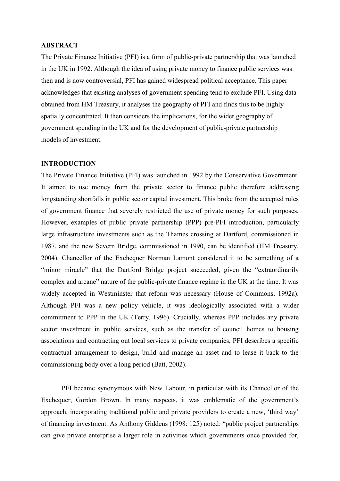### **ABSTRACT**

The Private Finance Initiative (PFI) is a form of public-private partnership that was launched in the UK in 1992. Although the idea of using private money to finance public services was then and is now controversial, PFI has gained widespread political acceptance. This paper acknowledges that existing analyses of government spending tend to exclude PFI. Using data obtained from HM Treasury, it analyses the geography of PFI and finds this to be highly spatially concentrated. It then considers the implications, for the wider geography of government spending in the UK and for the development of public-private partnership models of investment.

#### **INTRODUCTION**

The Private Finance Initiative (PFI) was launched in 1992 by the Conservative Government. It aimed to use money from the private sector to finance public therefore addressing longstanding shortfalls in public sector capital investment. This broke from the accepted rules of government finance that severely restricted the use of private money for such purposes. However, examples of public private partnership (PPP) pre-PFI introduction, particularly large infrastructure investments such as the Thames crossing at Dartford, commissioned in 1987, and the new Severn Bridge, commissioned in 1990, can be identified (HM Treasury, 2004). Chancellor of the Exchequer Norman Lamont considered it to be something of a "minor miracle" that the Dartford Bridge project succeeded, given the "extraordinarily complex and arcane" nature of the public-private finance regime in the UK at the time. It was widely accepted in Westminster that reform was necessary (House of Commons, 1992a). Although PFI was a new policy vehicle, it was ideologically associated with a wider commitment to PPP in the UK (Terry, 1996). Crucially, whereas PPP includes any private sector investment in public services, such as the transfer of council homes to housing associations and contracting out local services to private companies, PFI describes a specific contractual arrangement to design, build and manage an asset and to lease it back to the commissioning body over a long period (Batt, 2002).

PFI became synonymous with New Labour, in particular with its Chancellor of the Exchequer, Gordon Brown. In many respects, it was emblematic of the government's approach, incorporating traditional public and private providers to create a new, "third way" of financing investment. As Anthony Giddens (1998: 125) noted: "public project partnerships can give private enterprise a larger role in activities which governments once provided for,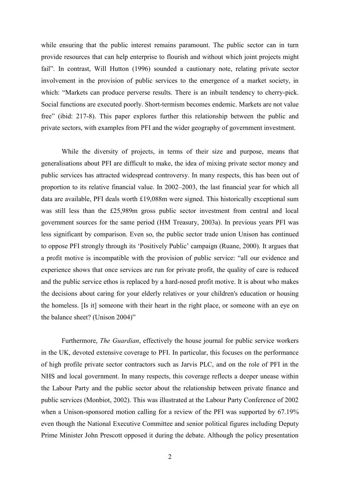while ensuring that the public interest remains paramount. The public sector can in turn provide resources that can help enterprise to flourish and without which joint projects might fail". In contrast, Will Hutton (1996) sounded a cautionary note, relating private sector involvement in the provision of public services to the emergence of a market society, in which: "Markets can produce perverse results. There is an inbuilt tendency to cherry-pick. Social functions are executed poorly. Short-termism becomes endemic. Markets are not value free" (ibid: 217-8). This paper explores further this relationship between the public and private sectors, with examples from PFI and the wider geography of government investment.

While the diversity of projects, in terms of their size and purpose, means that generalisations about PFI are difficult to make, the idea of mixing private sector money and public services has attracted widespread controversy. In many respects, this has been out of proportion to its relative financial value. In 2002–2003, the last financial year for which all data are available, PFI deals worth £19,088m were signed. This historically exceptional sum was still less than the £25,989m gross public sector investment from central and local government sources for the same period (HM Treasury, 2003a). In previous years PFI was less significant by comparison. Even so, the public sector trade union Unison has continued to oppose PFI strongly through its "Positively Public" campaign (Ruane, 2000). It argues that a profit motive is incompatible with the provision of public service: "all our evidence and experience shows that once services are run for private profit, the quality of care is reduced and the public service ethos is replaced by a hard-nosed profit motive. It is about who makes the decisions about caring for your elderly relatives or your children's education or housing the homeless. [Is it] someone with their heart in the right place, or someone with an eye on the balance sheet? (Unison 2004)"

Furthermore, *The Guardian*, effectively the house journal for public service workers in the UK, devoted extensive coverage to PFI. In particular, this focuses on the performance of high profile private sector contractors such as Jarvis PLC, and on the role of PFI in the NHS and local government. In many respects, this coverage reflects a deeper unease within the Labour Party and the public sector about the relationship between private finance and public services (Monbiot, 2002). This was illustrated at the Labour Party Conference of 2002 when a Unison-sponsored motion calling for a review of the PFI was supported by 67.19% even though the National Executive Committee and senior political figures including Deputy Prime Minister John Prescott opposed it during the debate. Although the policy presentation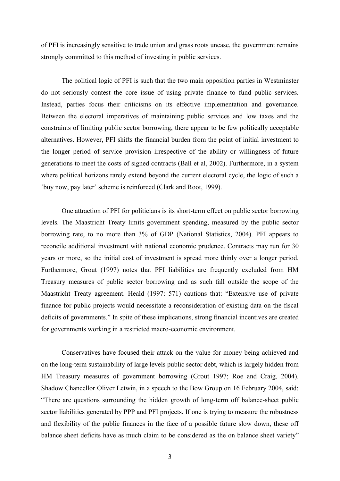of PFI is increasingly sensitive to trade union and grass roots unease, the government remains strongly committed to this method of investing in public services.

The political logic of PFI is such that the two main opposition parties in Westminster do not seriously contest the core issue of using private finance to fund public services. Instead, parties focus their criticisms on its effective implementation and governance. Between the electoral imperatives of maintaining public services and low taxes and the constraints of limiting public sector borrowing, there appear to be few politically acceptable alternatives. However, PFI shifts the financial burden from the point of initial investment to the longer period of service provision irrespective of the ability or willingness of future generations to meet the costs of signed contracts (Ball et al, 2002). Furthermore, in a system where political horizons rarely extend beyond the current electoral cycle, the logic of such a "buy now, pay later" scheme is reinforced (Clark and Root, 1999).

One attraction of PFI for politicians is its short-term effect on public sector borrowing levels. The Maastricht Treaty limits government spending, measured by the public sector borrowing rate, to no more than 3% of GDP (National Statistics, 2004). PFI appears to reconcile additional investment with national economic prudence. Contracts may run for 30 years or more, so the initial cost of investment is spread more thinly over a longer period. Furthermore, Grout (1997) notes that PFI liabilities are frequently excluded from HM Treasury measures of public sector borrowing and as such fall outside the scope of the Maastricht Treaty agreement. Heald (1997: 571) cautions that: "Extensive use of private finance for public projects would necessitate a reconsideration of existing data on the fiscal deficits of governments." In spite of these implications, strong financial incentives are created for governments working in a restricted macro-economic environment.

Conservatives have focused their attack on the value for money being achieved and on the long-term sustainability of large levels public sector debt, which is largely hidden from HM Treasury measures of government borrowing (Grout 1997; Roe and Craig, 2004). Shadow Chancellor Oliver Letwin, in a speech to the Bow Group on 16 February 2004, said: "There are questions surrounding the hidden growth of long-term off balance-sheet public sector liabilities generated by PPP and PFI projects. If one is trying to measure the robustness and flexibility of the public finances in the face of a possible future slow down, these off balance sheet deficits have as much claim to be considered as the on balance sheet variety"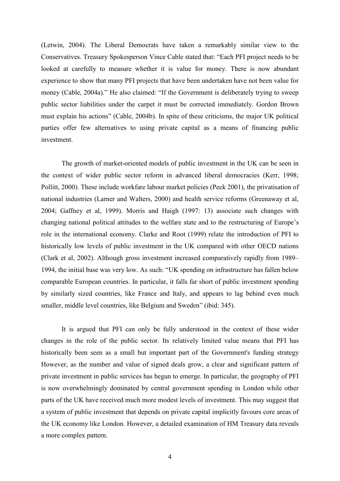(Letwin, 2004). The Liberal Democrats have taken a remarkably similar view to the Conservatives. Treasury Spokesperson Vince Cable stated that: "Each PFI project needs to be looked at carefully to measure whether it is value for money. There is now abundant experience to show that many PFI projects that have been undertaken have not been value for money (Cable, 2004a)." He also claimed: "If the Government is deliberately trying to sweep public sector liabilities under the carpet it must be corrected immediately. Gordon Brown must explain his actions" (Cable, 2004b). In spite of these criticisms, the major UK political parties offer few alternatives to using private capital as a means of financing public investment.

The growth of market-oriented models of public investment in the UK can be seen in the context of wider public sector reform in advanced liberal democracies (Kerr, 1998; Pollitt, 2000). These include workfare labour market policies (Peck 2001), the privatisation of national industries (Larner and Walters, 2000) and health service reforms (Greenaway et al, 2004; Gaffney et al, 1999). Morris and Haigh (1997: 13) associate such changes with changing national political attitudes to the welfare state and to the restructuring of Europe"s role in the international economy. Clarke and Root (1999) relate the introduction of PFI to historically low levels of public investment in the UK compared with other OECD nations (Clark et al, 2002). Although gross investment increased comparatively rapidly from 1989– 1994, the initial base was very low. As such: "UK spending on infrastructure has fallen below comparable European countries. In particular, it falls far short of public investment spending by similarly sized countries, like France and Italy, and appears to lag behind even much smaller, middle level countries, like Belgium and Sweden" (ibid: 345).

It is argued that PFI can only be fully understood in the context of these wider changes in the role of the public sector. Its relatively limited value means that PFI has historically been seen as a small but important part of the Government's funding strategy However, as the number and value of signed deals grow, a clear and significant pattern of private investment in public services has begun to emerge. In particular, the geography of PFI is now overwhelmingly dominated by central government spending in London while other parts of the UK have received much more modest levels of investment. This may suggest that a system of public investment that depends on private capital implicitly favours core areas of the UK economy like London. However, a detailed examination of HM Treasury data reveals a more complex pattern.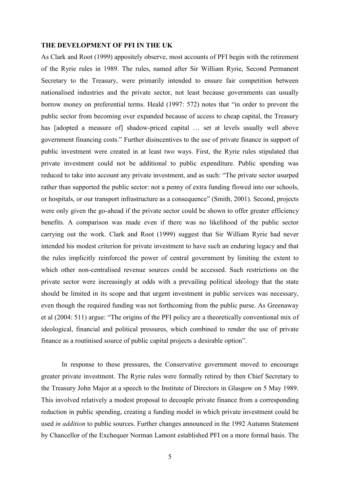#### **THE DEVELOPMENT OF PFI IN THE UK**

As Clark and Root (1999) appositely observe, most accounts of PFI begin with the retirement of the Ryrie rules in 1989. The rules, named after Sir William Ryrie, Second Permanent Secretary to the Treasury, were primarily intended to ensure fair competition between nationalised industries and the private sector, not least because governments can usually borrow money on preferential terms. Heald (1997: 572) notes that "in order to prevent the public sector from becoming over expanded because of access to cheap capital, the Treasury has [adopted a measure of] shadow-priced capital ... set at levels usually well above government financing costs." Further disincentives to the use of private finance in support of public investment were created in at least two ways. First, the Ryrie rules stipulated that private investment could not be additional to public expenditure. Public spending was reduced to take into account any private investment, and as such: "The private sector usurped rather than supported the public sector: not a penny of extra funding flowed into our schools, or hospitals, or our transport infrastructure as a consequence" (Smith, 2001). Second, projects were only given the go-ahead if the private sector could be shown to offer greater efficiency benefits. A comparison was made even if there was no likelihood of the public sector carrying out the work. Clark and Root (1999) suggest that Sir William Ryrie had never intended his modest criterion for private investment to have such an enduring legacy and that the rules implicitly reinforced the power of central government by limiting the extent to which other non-centralised revenue sources could be accessed. Such restrictions on the private sector were increasingly at odds with a prevailing political ideology that the state should be limited in its scope and that urgent investment in public services was necessary, even though the required funding was not forthcoming from the public purse. As Greenaway et al (2004: 511) argue: "The origins of the PFI policy are a theoretically conventional mix of ideological, financial and political pressures, which combined to render the use of private finance as a routinised source of public capital projects a desirable option".

In response to these pressures, the Conservative government moved to encourage greater private investment. The Ryrie rules were formally retired by then Chief Secretary to the Treasury John Major at a speech to the Institute of Directors in Glasgow on 5 May 1989. This involved relatively a modest proposal to decouple private finance from a corresponding reduction in public spending, creating a funding model in which private investment could be used *in addition* to public sources. Further changes announced in the 1992 Autumn Statement by Chancellor of the Exchequer Norman Lamont established PFI on a more formal basis. The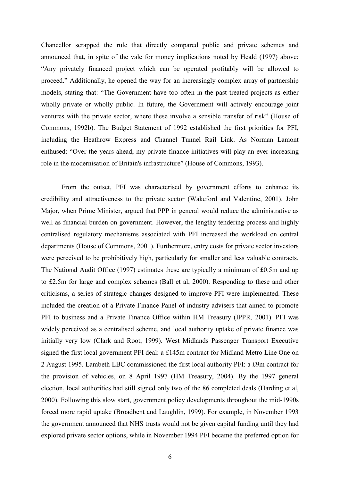Chancellor scrapped the rule that directly compared public and private schemes and announced that, in spite of the vale for money implications noted by Heald (1997) above: "Any privately financed project which can be operated profitably will be allowed to proceed." Additionally, he opened the way for an increasingly complex array of partnership models, stating that: "The Government have too often in the past treated projects as either wholly private or wholly public. In future, the Government will actively encourage joint ventures with the private sector, where these involve a sensible transfer of risk" (House of Commons, 1992b). The Budget Statement of 1992 established the first priorities for PFI, including the Heathrow Express and Channel Tunnel Rail Link. As Norman Lamont enthused: "Over the years ahead, my private finance initiatives will play an ever increasing role in the modernisation of Britain's infrastructure" (House of Commons, 1993).

From the outset, PFI was characterised by government efforts to enhance its credibility and attractiveness to the private sector (Wakeford and Valentine, 2001). John Major, when Prime Minister, argued that PPP in general would reduce the administrative as well as financial burden on government. However, the lengthy tendering process and highly centralised regulatory mechanisms associated with PFI increased the workload on central departments (House of Commons, 2001). Furthermore, entry costs for private sector investors were perceived to be prohibitively high, particularly for smaller and less valuable contracts. The National Audit Office (1997) estimates these are typically a minimum of £0.5m and up to £2.5m for large and complex schemes (Ball et al, 2000). Responding to these and other criticisms, a series of strategic changes designed to improve PFI were implemented. These included the creation of a Private Finance Panel of industry advisers that aimed to promote PFI to business and a Private Finance Office within HM Treasury (IPPR, 2001). PFI was widely perceived as a centralised scheme, and local authority uptake of private finance was initially very low (Clark and Root, 1999). West Midlands Passenger Transport Executive signed the first local government PFI deal: a £145m contract for Midland Metro Line One on 2 August 1995. Lambeth LBC commissioned the first local authority PFI: a £9m contract for the provision of vehicles, on 8 April 1997 (HM Treasury, 2004). By the 1997 general election, local authorities had still signed only two of the 86 completed deals (Harding et al, 2000). Following this slow start, government policy developments throughout the mid-1990s forced more rapid uptake (Broadbent and Laughlin, 1999). For example, in November 1993 the government announced that NHS trusts would not be given capital funding until they had explored private sector options, while in November 1994 PFI became the preferred option for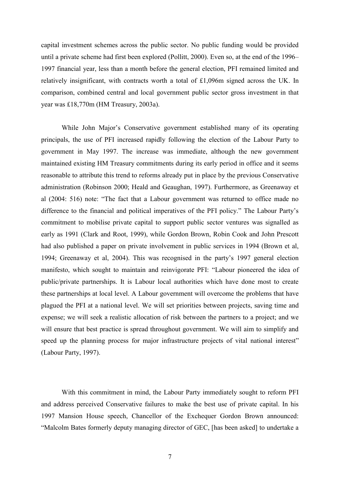capital investment schemes across the public sector. No public funding would be provided until a private scheme had first been explored (Pollitt, 2000). Even so, at the end of the 1996– 1997 financial year, less than a month before the general election, PFI remained limited and relatively insignificant, with contracts worth a total of £1,096m signed across the UK. In comparison, combined central and local government public sector gross investment in that year was £18,770m (HM Treasury, 2003a).

While John Major's Conservative government established many of its operating principals, the use of PFI increased rapidly following the election of the Labour Party to government in May 1997. The increase was immediate, although the new government maintained existing HM Treasury commitments during its early period in office and it seems reasonable to attribute this trend to reforms already put in place by the previous Conservative administration (Robinson 2000; Heald and Geaughan, 1997). Furthermore, as Greenaway et al (2004: 516) note: "The fact that a Labour government was returned to office made no difference to the financial and political imperatives of the PFI policy." The Labour Party"s commitment to mobilise private capital to support public sector ventures was signalled as early as 1991 (Clark and Root, 1999), while Gordon Brown, Robin Cook and John Prescott had also published a paper on private involvement in public services in 1994 (Brown et al, 1994; Greenaway et al, 2004). This was recognised in the party"s 1997 general election manifesto, which sought to maintain and reinvigorate PFI: "Labour pioneered the idea of public/private partnerships. It is Labour local authorities which have done most to create these partnerships at local level. A Labour government will overcome the problems that have plagued the PFI at a national level. We will set priorities between projects, saving time and expense; we will seek a realistic allocation of risk between the partners to a project; and we will ensure that best practice is spread throughout government. We will aim to simplify and speed up the planning process for major infrastructure projects of vital national interest" (Labour Party, 1997).

With this commitment in mind, the Labour Party immediately sought to reform PFI and address perceived Conservative failures to make the best use of private capital. In his 1997 Mansion House speech, Chancellor of the Exchequer Gordon Brown announced: "Malcolm Bates formerly deputy managing director of GEC, [has been asked] to undertake a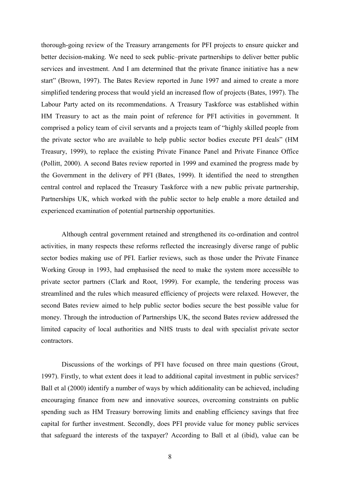thorough-going review of the Treasury arrangements for PFI projects to ensure quicker and better decision-making. We need to seek public–private partnerships to deliver better public services and investment. And I am determined that the private finance initiative has a new start" (Brown, 1997). The Bates Review reported in June 1997 and aimed to create a more simplified tendering process that would yield an increased flow of projects (Bates, 1997). The Labour Party acted on its recommendations. A Treasury Taskforce was established within HM Treasury to act as the main point of reference for PFI activities in government. It comprised a policy team of civil servants and a projects team of "highly skilled people from the private sector who are available to help public sector bodies execute PFI deals" (HM Treasury, 1999), to replace the existing Private Finance Panel and Private Finance Office (Pollitt, 2000). A second Bates review reported in 1999 and examined the progress made by the Government in the delivery of PFI (Bates, 1999). It identified the need to strengthen central control and replaced the Treasury Taskforce with a new public private partnership, Partnerships UK, which worked with the public sector to help enable a more detailed and experienced examination of potential partnership opportunities.

Although central government retained and strengthened its co-ordination and control activities, in many respects these reforms reflected the increasingly diverse range of public sector bodies making use of PFI. Earlier reviews, such as those under the Private Finance Working Group in 1993, had emphasised the need to make the system more accessible to private sector partners (Clark and Root, 1999). For example, the tendering process was streamlined and the rules which measured efficiency of projects were relaxed. However, the second Bates review aimed to help public sector bodies secure the best possible value for money. Through the introduction of Partnerships UK, the second Bates review addressed the limited capacity of local authorities and NHS trusts to deal with specialist private sector contractors.

Discussions of the workings of PFI have focused on three main questions (Grout, 1997). Firstly, to what extent does it lead to additional capital investment in public services? Ball et al (2000) identify a number of ways by which additionality can be achieved, including encouraging finance from new and innovative sources, overcoming constraints on public spending such as HM Treasury borrowing limits and enabling efficiency savings that free capital for further investment. Secondly, does PFI provide value for money public services that safeguard the interests of the taxpayer? According to Ball et al (ibid), value can be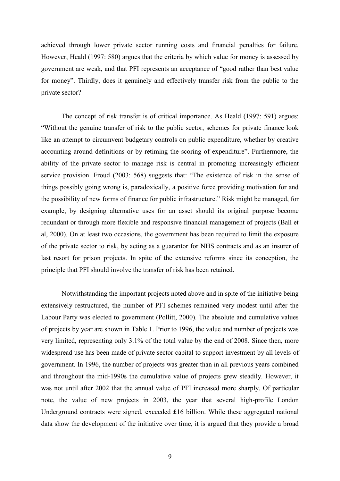achieved through lower private sector running costs and financial penalties for failure. However, Heald (1997: 580) argues that the criteria by which value for money is assessed by government are weak, and that PFI represents an acceptance of "good rather than best value for money". Thirdly, does it genuinely and effectively transfer risk from the public to the private sector?

The concept of risk transfer is of critical importance. As Heald (1997: 591) argues: "Without the genuine transfer of risk to the public sector, schemes for private finance look like an attempt to circumvent budgetary controls on public expenditure, whether by creative accounting around definitions or by retiming the scoring of expenditure". Furthermore, the ability of the private sector to manage risk is central in promoting increasingly efficient service provision. Froud (2003: 568) suggests that: "The existence of risk in the sense of things possibly going wrong is, paradoxically, a positive force providing motivation for and the possibility of new forms of finance for public infrastructure." Risk might be managed, for example, by designing alternative uses for an asset should its original purpose become redundant or through more flexible and responsive financial management of projects (Ball et al, 2000). On at least two occasions, the government has been required to limit the exposure of the private sector to risk, by acting as a guarantor for NHS contracts and as an insurer of last resort for prison projects. In spite of the extensive reforms since its conception, the principle that PFI should involve the transfer of risk has been retained.

Notwithstanding the important projects noted above and in spite of the initiative being extensively restructured, the number of PFI schemes remained very modest until after the Labour Party was elected to government (Pollitt, 2000). The absolute and cumulative values of projects by year are shown in Table 1. Prior to 1996, the value and number of projects was very limited, representing only 3.1% of the total value by the end of 2008. Since then, more widespread use has been made of private sector capital to support investment by all levels of government. In 1996, the number of projects was greater than in all previous years combined and throughout the mid-1990s the cumulative value of projects grew steadily. However, it was not until after 2002 that the annual value of PFI increased more sharply. Of particular note, the value of new projects in 2003, the year that several high-profile London Underground contracts were signed, exceeded £16 billion. While these aggregated national data show the development of the initiative over time, it is argued that they provide a broad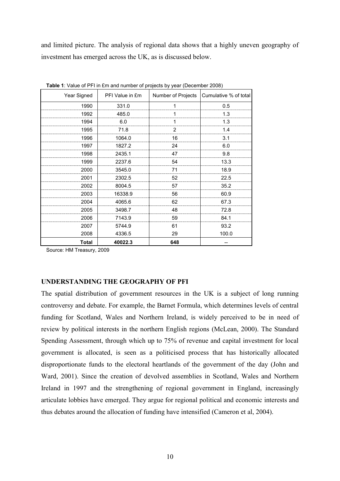and limited picture. The analysis of regional data shows that a highly uneven geography of investment has emerged across the UK, as is discussed below.

| Year Signed  | PFI Value in £m | Number of Projects | Cumulative % of total |
|--------------|-----------------|--------------------|-----------------------|
| 1990         | 331.0           | 1                  | 0.5                   |
| 1992         | 485.0           | 1                  | 1.3                   |
| 1994         | 6.0             | 1                  | 1.3                   |
| 1995         | 71.8            | 2                  | 1.4                   |
| 1996         | 1064.0          | 16                 | 3.1                   |
| 1997         | 1827.2          | 24                 | 6.0                   |
| 1998         | 2435.1          | 47                 | 9.8                   |
| 1999         | 2237.6          | 54                 | 13.3                  |
| 2000         | 3545.0          | 71                 | 18.9                  |
| 2001         | 2302.5          | 52                 | 22.5                  |
| 2002         | 8004.5          | 57                 | 35.2                  |
| 2003         | 16338.9         | 56                 | 60.9                  |
| 2004         | 4065.6          | 62                 | 67.3                  |
| 2005         | 3498.7          | 48                 | 72.8                  |
| 2006         | 7143.9          | 59                 | 84.1                  |
| 2007         | 5744.9          | 61                 | 93.2                  |
| 2008         | 4336.5          | 29                 | 100.0                 |
| <b>Total</b> | 40022.3         | 648                |                       |

**Table 1**: Value of PFI in £m and number of projects by year (December 2008)

Source: HM Treasury, 2009

## **UNDERSTANDING THE GEOGRAPHY OF PFI**

The spatial distribution of government resources in the UK is a subject of long running controversy and debate. For example, the Barnet Formula, which determines levels of central funding for Scotland, Wales and Northern Ireland, is widely perceived to be in need of review by political interests in the northern English regions (McLean, 2000). The Standard Spending Assessment, through which up to 75% of revenue and capital investment for local government is allocated, is seen as a politicised process that has historically allocated disproportionate funds to the electoral heartlands of the government of the day (John and Ward, 2001). Since the creation of devolved assemblies in Scotland, Wales and Northern Ireland in 1997 and the strengthening of regional government in England, increasingly articulate lobbies have emerged. They argue for regional political and economic interests and thus debates around the allocation of funding have intensified (Cameron et al, 2004).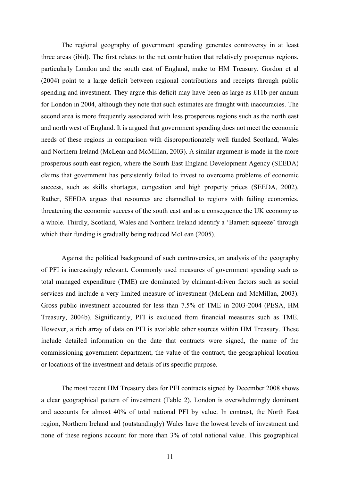The regional geography of government spending generates controversy in at least three areas (ibid). The first relates to the net contribution that relatively prosperous regions, particularly London and the south east of England, make to HM Treasury. Gordon et al (2004) point to a large deficit between regional contributions and receipts through public spending and investment. They argue this deficit may have been as large as £11b per annum for London in 2004, although they note that such estimates are fraught with inaccuracies. The second area is more frequently associated with less prosperous regions such as the north east and north west of England. It is argued that government spending does not meet the economic needs of these regions in comparison with disproportionately well funded Scotland, Wales and Northern Ireland (McLean and McMillan, 2003). A similar argument is made in the more prosperous south east region, where the South East England Development Agency (SEEDA) claims that government has persistently failed to invest to overcome problems of economic success, such as skills shortages, congestion and high property prices (SEEDA, 2002). Rather, SEEDA argues that resources are channelled to regions with failing economies, threatening the economic success of the south east and as a consequence the UK economy as a whole. Thirdly, Scotland, Wales and Northern Ireland identify a "Barnett squeeze" through which their funding is gradually being reduced McLean (2005).

Against the political background of such controversies, an analysis of the geography of PFI is increasingly relevant. Commonly used measures of government spending such as total managed expenditure (TME) are dominated by claimant-driven factors such as social services and include a very limited measure of investment (McLean and McMillan, 2003). Gross public investment accounted for less than 7.5% of TME in 2003-2004 (PESA, HM Treasury, 2004b). Significantly, PFI is excluded from financial measures such as TME. However, a rich array of data on PFI is available other sources within HM Treasury. These include detailed information on the date that contracts were signed, the name of the commissioning government department, the value of the contract, the geographical location or locations of the investment and details of its specific purpose.

The most recent HM Treasury data for PFI contracts signed by December 2008 shows a clear geographical pattern of investment (Table 2). London is overwhelmingly dominant and accounts for almost 40% of total national PFI by value. In contrast, the North East region, Northern Ireland and (outstandingly) Wales have the lowest levels of investment and none of these regions account for more than 3% of total national value. This geographical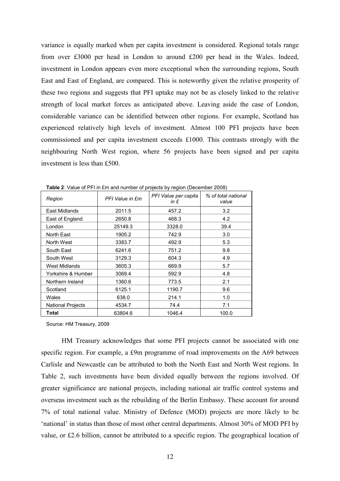variance is equally marked when per capita investment is considered. Regional totals range from over £3000 per head in London to around £200 per head in the Wales. Indeed, investment in London appears even more exceptional when the surrounding regions, South East and East of England, are compared. This is noteworthy given the relative prosperity of these two regions and suggests that PFI uptake may not be as closely linked to the relative strength of local market forces as anticipated above. Leaving aside the case of London, considerable variance can be identified between other regions. For example, Scotland has experienced relatively high levels of investment. Almost 100 PFI projects have been commissioned and per capita investment exceeds £1000. This contrasts strongly with the neighbouring North West region, where 56 projects have been signed and per capita investment is less than £500.

| Region                   | PFI Value in £m | PFI Value per capita<br>in $E$ | % of total national<br>value |  |
|--------------------------|-----------------|--------------------------------|------------------------------|--|
| East Midlands            | 2011.5          | 457.2                          | 3.2                          |  |
| East of England          | 2650.8          | 468.3                          | 4.2                          |  |
| London                   | 25149.3         | 3328.0                         | 39.4                         |  |
| North East               | 1905.2          | 742.9                          | 3.0                          |  |
| North West               | 3383.7          | 492.9                          | 5.3                          |  |
| South East               | 6241.6          | 751.2                          | 9.8                          |  |
| South West               | 3129.3          | 604.3                          | 4.9                          |  |
| West Midlands            | 3605.3          | 669.9                          | 5.7                          |  |
| Yorkshire & Humber       | 3069.4          | 592.9                          | 4.8                          |  |
| Northern Ireland         | 1360.6          | 773.5                          | 2.1                          |  |
| Scotland                 | 6125.1          | 1190.7                         | 9.6                          |  |
| Wales                    | 638.0           | 214.1                          | 1.0                          |  |
| <b>National Projects</b> | 4534.7          | 74.4                           | 7.1                          |  |
| Total                    | 63804.6         | 1046.4                         | 100.0                        |  |

**Table 2:** Value of PFI in £m and number of projects by region (December 2008)

Source: HM Treasury, 2009

HM Treasury acknowledges that some PFI projects cannot be associated with one specific region. For example, a £9m programme of road improvements on the A69 between Carlisle and Newcastle can be attributed to both the North East and North West regions. In Table 2, such investments have been divided equally between the regions involved. Of greater significance are national projects, including national air traffic control systems and overseas investment such as the rebuilding of the Berlin Embassy. These account for around 7% of total national value. Ministry of Defence (MOD) projects are more likely to be 'national' in status than those of most other central departments. Almost 30% of MOD PFI by value, or £2.6 billion, cannot be attributed to a specific region. The geographical location of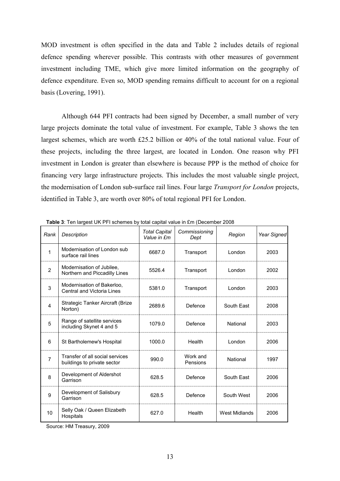MOD investment is often specified in the data and Table 2 includes details of regional defence spending wherever possible. This contrasts with other measures of government investment including TME, which give more limited information on the geography of defence expenditure. Even so, MOD spending remains difficult to account for on a regional basis (Lovering, 1991).

Although 644 PFI contracts had been signed by December, a small number of very large projects dominate the total value of investment. For example, Table 3 shows the ten largest schemes, which are worth £25.2 billion or 40% of the total national value. Four of these projects, including the three largest, are located in London. One reason why PFI investment in London is greater than elsewhere is because PPP is the method of choice for financing very large infrastructure projects. This includes the most valuable single project, the modernisation of London sub-surface rail lines. Four large *Transport for London* projects, identified in Table 3, are worth over 80% of total regional PFI for London.

| Rank           | <b>Description</b>                                             | <b>Total Capital</b><br>Value in £m | Commissioning<br>Dept | Region               | Year Signed |
|----------------|----------------------------------------------------------------|-------------------------------------|-----------------------|----------------------|-------------|
| 1              | Modernisation of London sub<br>surface rail lines              | 6687.0                              | Transport             | London               | 2003        |
| $\overline{2}$ | Modernisation of Jubilee.<br>Northern and Piccadilly Lines     | 5526.4                              | Transport             | London               | 2002        |
| $\mathbf{3}$   | Modernisation of Bakerloo.<br>Central and Victoria Lines       | 5381.0                              | Transport             | London               | 2003        |
| 4              | Strategic Tanker Aircraft (Brize<br>Norton)                    | 2689.6                              | Defence               | South East           | 2008        |
| 5              | Range of satellite services<br>including Skynet 4 and 5        | 1079.0                              | Defence               | National             | 2003        |
| 6              | St Bartholemew's Hospital                                      | 1000.0                              | Health                | London               | 2006        |
| $\overline{7}$ | Transfer of all social services<br>buildings to private sector | 990.0                               | Work and<br>Pensions  | National             | 1997        |
| 8              | Development of Aldershot<br>Garrison                           | 628.5                               | Defence               | South East           | 2006        |
| 9              | Development of Salisbury<br>Garrison                           | 628.5                               | Defence               | South West           | 2006        |
| 10             | Selly Oak / Queen Elizabeth<br>Hospitals                       | 627.0                               | Health                | <b>West Midlands</b> | 2006        |

**Table 3**: Ten largest UK PFI schemes by total capital value in £m (December 2008

Source: HM Treasury, 2009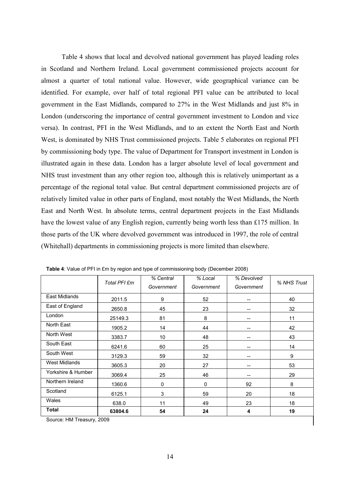Table 4 shows that local and devolved national government has played leading roles in Scotland and Northern Ireland. Local government commissioned projects account for almost a quarter of total national value. However, wide geographical variance can be identified. For example, over half of total regional PFI value can be attributed to local government in the East Midlands, compared to 27% in the West Midlands and just 8% in London (underscoring the importance of central government investment to London and vice versa). In contrast, PFI in the West Midlands, and to an extent the North East and North West, is dominated by NHS Trust commissioned projects. Table 5 elaborates on regional PFI by commissioning body type. The value of Department for Transport investment in London is illustrated again in these data. London has a larger absolute level of local government and NHS trust investment than any other region too, although this is relatively unimportant as a percentage of the regional total value. But central department commissioned projects are of relatively limited value in other parts of England, most notably the West Midlands, the North East and North West. In absolute terms, central department projects in the East Midlands have the lowest value of any English region, currently being worth less than £175 million. In those parts of the UK where devolved government was introduced in 1997, the role of central (Whitehall) departments in commissioning projects is more limited than elsewhere.

|                      | Total PFI £m | % Central  | % Local    | % Devolved |             |  |
|----------------------|--------------|------------|------------|------------|-------------|--|
|                      |              | Government | Government | Government | % NHS Trust |  |
| East Midlands        | 2011.5       | 9          | 52         | --         | 40          |  |
| East of England      | 2650.8       | 45         | 23         | --         | 32          |  |
| London               | 25149.3      | 81         | 8          | --         | 11          |  |
| North East           | 1905.2       | 14         | 44         | --         | 42          |  |
| North West           | 3383.7       | 10         | 48         |            | 43          |  |
| South East           | 6241.6       | 60         | 25         | --         | 14          |  |
| South West           | 3129.3       | 59         | 32         |            | 9           |  |
| <b>West Midlands</b> | 3605.3       | 20         | 27         |            | 53          |  |
| Yorkshire & Humber   | 3069.4       | 25         | 46         |            | 29          |  |
| Northern Ireland     | 1360.6       | 0          | 0          | 92         | 8           |  |
| Scotland             | 6125.1       | 3          | 59         | 20         | 18          |  |
| Wales                | 638.0        | 11         | 49         | 23         | 18          |  |
| Total                | 63804.6      | 54         | 24         | 4          | 19          |  |

**Table 4**: Value of PFI in £m by region and type of commissioning body (December 2008)

Source: HM Treasury, 2009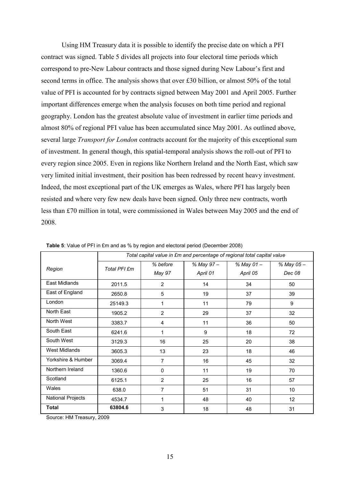Using HM Treasury data it is possible to identify the precise date on which a PFI contract was signed. Table 5 divides all projects into four electoral time periods which correspond to pre-New Labour contracts and those signed during New Labour"s first and second terms in office. The analysis shows that over £30 billion, or almost 50% of the total value of PFI is accounted for by contracts signed between May 2001 and April 2005. Further important differences emerge when the analysis focuses on both time period and regional geography. London has the greatest absolute value of investment in earlier time periods and almost 80% of regional PFI value has been accumulated since May 2001. As outlined above, several large *Transport for London* contracts account for the majority of this exceptional sum of investment. In general though, this spatial-temporal analysis shows the roll-out of PFI to every region since 2005. Even in regions like Northern Ireland and the North East, which saw very limited initial investment, their position has been redressed by recent heavy investment. Indeed, the most exceptional part of the UK emerges as Wales, where PFI has largely been resisted and where very few new deals have been signed. Only three new contracts, worth less than £70 million in total, were commissioned in Wales between May 2005 and the end of 2008.

|                          | Total capital value in £m and percentage of regional total capital value |                |           |           |                 |
|--------------------------|--------------------------------------------------------------------------|----------------|-----------|-----------|-----------------|
| Region                   | Total PFI £m                                                             | % before       | % May 97- | % May 01- | % May 05-       |
|                          |                                                                          | May 97         | April 01  | April 05  | Dec 08          |
| East Midlands            | 2011.5                                                                   | $\overline{2}$ | 14        | 34        | 50              |
| East of England          | 2650.8                                                                   | 5              | 19        | 37        | 39              |
| London                   | 25149.3                                                                  | 1              | 11        | 79        | 9               |
| North East               | 1905.2                                                                   | $\overline{2}$ | 29        | 37        | 32              |
| North West               | 3383.7                                                                   | 4              | 11        | 36        | 50              |
| South East               | 6241.6                                                                   | 1              | 9         | 18        | 72              |
| South West               | 3129.3                                                                   | 16             | 25        | 20        | 38              |
| <b>West Midlands</b>     | 3605.3                                                                   | 13             | 23        | 18        | 46              |
| Yorkshire & Humber       | 3069.4                                                                   | 7              | 16        | 45        | 32              |
| Northern Ireland         | 1360.6                                                                   | 0              | 11        | 19        | 70              |
| Scotland                 | 6125.1                                                                   | $\overline{2}$ | 25        | 16        | 57              |
| Wales                    | 638.0                                                                    | 7              | 51        | 31        | 10 <sup>°</sup> |
| <b>National Projects</b> | 4534.7                                                                   | 1              | 48        | 40        | 12 <sup>2</sup> |
| <b>Total</b>             | 63804.6                                                                  | 3              | 18        | 48        | 31              |

**Table 5**: Value of PFI in £m and as % by region and electoral period (December 2008)

Source: HM Treasury, 2009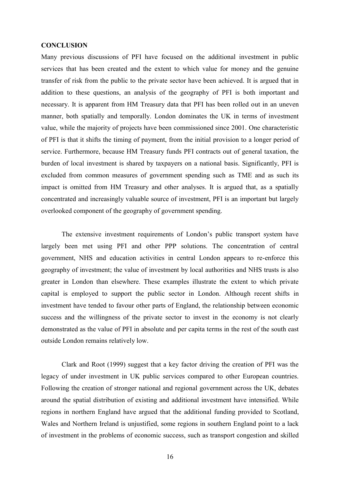#### **CONCLUSION**

Many previous discussions of PFI have focused on the additional investment in public services that has been created and the extent to which value for money and the genuine transfer of risk from the public to the private sector have been achieved. It is argued that in addition to these questions, an analysis of the geography of PFI is both important and necessary. It is apparent from HM Treasury data that PFI has been rolled out in an uneven manner, both spatially and temporally. London dominates the UK in terms of investment value, while the majority of projects have been commissioned since 2001. One characteristic of PFI is that it shifts the timing of payment, from the initial provision to a longer period of service. Furthermore, because HM Treasury funds PFI contracts out of general taxation, the burden of local investment is shared by taxpayers on a national basis. Significantly, PFI is excluded from common measures of government spending such as TME and as such its impact is omitted from HM Treasury and other analyses. It is argued that, as a spatially concentrated and increasingly valuable source of investment, PFI is an important but largely overlooked component of the geography of government spending.

The extensive investment requirements of London"s public transport system have largely been met using PFI and other PPP solutions. The concentration of central government, NHS and education activities in central London appears to re-enforce this geography of investment; the value of investment by local authorities and NHS trusts is also greater in London than elsewhere. These examples illustrate the extent to which private capital is employed to support the public sector in London. Although recent shifts in investment have tended to favour other parts of England, the relationship between economic success and the willingness of the private sector to invest in the economy is not clearly demonstrated as the value of PFI in absolute and per capita terms in the rest of the south east outside London remains relatively low.

Clark and Root (1999) suggest that a key factor driving the creation of PFI was the legacy of under investment in UK public services compared to other European countries. Following the creation of stronger national and regional government across the UK, debates around the spatial distribution of existing and additional investment have intensified. While regions in northern England have argued that the additional funding provided to Scotland, Wales and Northern Ireland is unjustified, some regions in southern England point to a lack of investment in the problems of economic success, such as transport congestion and skilled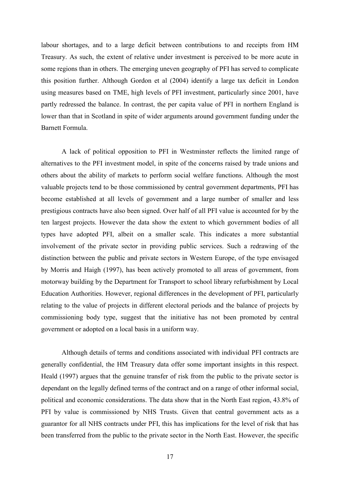labour shortages, and to a large deficit between contributions to and receipts from HM Treasury. As such, the extent of relative under investment is perceived to be more acute in some regions than in others. The emerging uneven geography of PFI has served to complicate this position further. Although Gordon et al (2004) identify a large tax deficit in London using measures based on TME, high levels of PFI investment, particularly since 2001, have partly redressed the balance. In contrast, the per capita value of PFI in northern England is lower than that in Scotland in spite of wider arguments around government funding under the Barnett Formula.

A lack of political opposition to PFI in Westminster reflects the limited range of alternatives to the PFI investment model, in spite of the concerns raised by trade unions and others about the ability of markets to perform social welfare functions. Although the most valuable projects tend to be those commissioned by central government departments, PFI has become established at all levels of government and a large number of smaller and less prestigious contracts have also been signed. Over half of all PFI value is accounted for by the ten largest projects. However the data show the extent to which government bodies of all types have adopted PFI, albeit on a smaller scale. This indicates a more substantial involvement of the private sector in providing public services. Such a redrawing of the distinction between the public and private sectors in Western Europe, of the type envisaged by Morris and Haigh (1997), has been actively promoted to all areas of government, from motorway building by the Department for Transport to school library refurbishment by Local Education Authorities. However, regional differences in the development of PFI, particularly relating to the value of projects in different electoral periods and the balance of projects by commissioning body type, suggest that the initiative has not been promoted by central government or adopted on a local basis in a uniform way.

Although details of terms and conditions associated with individual PFI contracts are generally confidential, the HM Treasury data offer some important insights in this respect. Heald (1997) argues that the genuine transfer of risk from the public to the private sector is dependant on the legally defined terms of the contract and on a range of other informal social, political and economic considerations. The data show that in the North East region, 43.8% of PFI by value is commissioned by NHS Trusts. Given that central government acts as a guarantor for all NHS contracts under PFI, this has implications for the level of risk that has been transferred from the public to the private sector in the North East. However, the specific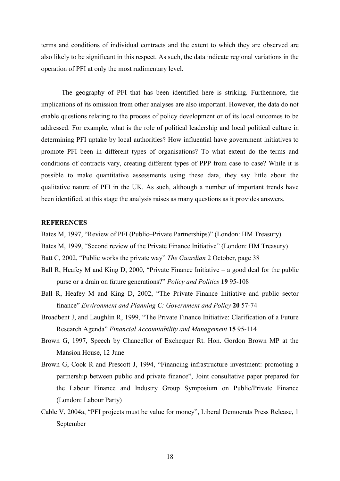terms and conditions of individual contracts and the extent to which they are observed are also likely to be significant in this respect. As such, the data indicate regional variations in the operation of PFI at only the most rudimentary level.

The geography of PFI that has been identified here is striking. Furthermore, the implications of its omission from other analyses are also important. However, the data do not enable questions relating to the process of policy development or of its local outcomes to be addressed. For example, what is the role of political leadership and local political culture in determining PFI uptake by local authorities? How influential have government initiatives to promote PFI been in different types of organisations? To what extent do the terms and conditions of contracts vary, creating different types of PPP from case to case? While it is possible to make quantitative assessments using these data, they say little about the qualitative nature of PFI in the UK. As such, although a number of important trends have been identified, at this stage the analysis raises as many questions as it provides answers.

## **REFERENCES**

Bates M, 1997, "Review of PFI (Public–Private Partnerships)" (London: HM Treasury)

- Bates M, 1999, "Second review of the Private Finance Initiative" (London: HM Treasury)
- Batt C, 2002, "Public works the private way" *The Guardian* 2 October, page 38
- Ball R, Heafey M and King D, 2000, "Private Finance Initiative a good deal for the public purse or a drain on future generations?" *Policy and Politics* **19** 95-108
- Ball R, Heafey M and King D, 2002, "The Private Finance Initiative and public sector finance" *Environment and Planning C: Government and Policy* **20** 57-74
- Broadbent J, and Laughlin R, 1999, "The Private Finance Initiative: Clarification of a Future Research Agenda" *Financial Accountability and Management* **15** 95-114
- Brown G, 1997, Speech by Chancellor of Exchequer Rt. Hon. Gordon Brown MP at the Mansion House, 12 June
- Brown G, Cook R and Prescott J, 1994, "Financing infrastructure investment: promoting a partnership between public and private finance", Joint consultative paper prepared for the Labour Finance and Industry Group Symposium on Public/Private Finance (London: Labour Party)
- Cable V, 2004a, "PFI projects must be value for money", Liberal Democrats Press Release, 1 September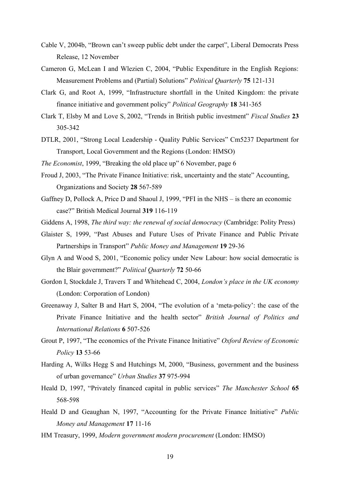- Cable V, 2004b, "Brown can"t sweep public debt under the carpet", Liberal Democrats Press Release, 12 November
- Cameron G, McLean I and Wlezien C, 2004, "Public Expenditure in the English Regions: Measurement Problems and (Partial) Solutions" *Political Quarterly* **75** 121-131
- Clark G, and Root A, 1999, "Infrastructure shortfall in the United Kingdom: the private finance initiative and government policy" *Political Geography* **18** 341-365
- Clark T, Elsby M and Love S, 2002, "Trends in British public investment" *Fiscal Studies* **23** 305-342
- DTLR, 2001, "Strong Local Leadership Quality Public Services" Cm5237 Department for Transport, Local Government and the Regions (London: HMSO)
- *The Economist*, 1999, "Breaking the old place up" 6 November, page 6
- Froud J, 2003, "The Private Finance Initiative: risk, uncertainty and the state" Accounting, Organizations and Society **28** 567-589
- Gaffney D, Pollock A, Price D and Shaoul J, 1999, "PFI in the NHS is there an economic case?" British Medical Journal **319** 116-119
- Giddens A, 1998, *The third way: the renewal of social democracy* (Cambridge: Polity Press)
- Glaister S, 1999, "Past Abuses and Future Uses of Private Finance and Public Private Partnerships in Transport" *Public Money and Management* **19** 29-36
- Glyn A and Wood S, 2001, "Economic policy under New Labour: how social democratic is the Blair government?" *Political Quarterly* **72** 50-66
- Gordon I, Stockdale J, Travers T and Whitehead C, 2004, *London's place in the UK economy* (London: Corporation of London)
- Greenaway J, Salter B and Hart S, 2004, "The evolution of a "meta-policy": the case of the Private Finance Initiative and the health sector" *British Journal of Politics and International Relations* **6** 507-526
- Grout P, 1997, "The economics of the Private Finance Initiative" *Oxford Review of Economic Policy* **13** 53-66
- Harding A, Wilks Hegg S and Hutchings M, 2000, "Business, government and the business of urban governance" *Urban Studies* **37** 975-994
- Heald D, 1997, "Privately financed capital in public services" *The Manchester School* **65** 568-598
- Heald D and Geaughan N, 1997, "Accounting for the Private Finance Initiative" *Public Money and Management* **17** 11-16
- HM Treasury, 1999, *Modern government modern procurement* (London: HMSO)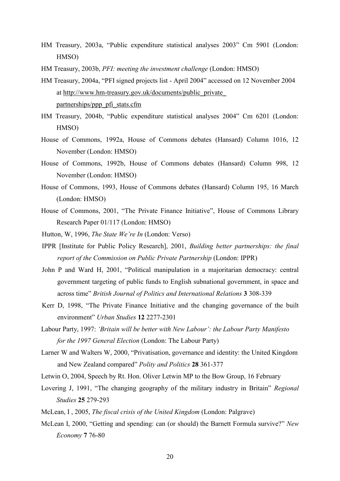- HM Treasury, 2003a, "Public expenditure statistical analyses 2003" Cm 5901 (London: HMSO)
- HM Treasury, 2003b, *PFI: meeting the investment challenge* (London: HMSO)
- HM Treasury, 2004a, "PFI signed projects list April 2004" accessed on 12 November 2004 at http://www.hm-treasury.gov.uk/documents/public\_private\_ partnerships/ppp\_pfi\_stats.cfm
- HM Treasury, 2004b, "Public expenditure statistical analyses 2004" Cm 6201 (London: HMSO)
- House of Commons, 1992a, House of Commons debates (Hansard) Column 1016, 12 November (London: HMSO)
- House of Commons, 1992b, House of Commons debates (Hansard) Column 998, 12 November (London: HMSO)
- House of Commons, 1993, House of Commons debates (Hansard) Column 195, 16 March (London: HMSO)
- House of Commons, 2001, "The Private Finance Initiative", House of Commons Library Research Paper 01/117 (London: HMSO)
- Hutton, W, 1996, *The State We're In* (London: Verso)
- IPPR [Institute for Public Policy Research], 2001, *Building better partnerships: the final report of the Commission on Public Private Partnership* (London: IPPR)
- John P and Ward H, 2001, "Political manipulation in a majoritarian democracy: central government targeting of public funds to English subnational government, in space and across time" *British Journal of Politics and International Relations* **3** 308-339
- Kerr D, 1998, "The Private Finance Initiative and the changing governance of the built environment" *Urban Studies* **12** 2277-2301
- Labour Party, 1997: *'Britain will be better with New Labour': the Labour Party Manifesto for the 1997 General Election* (London: The Labour Party)
- Larner W and Walters W, 2000, "Privatisation, governance and identity: the United Kingdom and New Zealand compared" *Polity and Politics* **28** 361-377
- Letwin O, 2004, Speech by Rt. Hon. Oliver Letwin MP to the Bow Group, 16 February
- Lovering J, 1991, "The changing geography of the military industry in Britain" *Regional Studies* **25** 279-293
- McLean, I , 2005, *The fiscal crisis of the United Kingdom* (London: Palgrave)
- McLean I, 2000, "Getting and spending: can (or should) the Barnett Formula survive?" *New Economy* **7** 76-80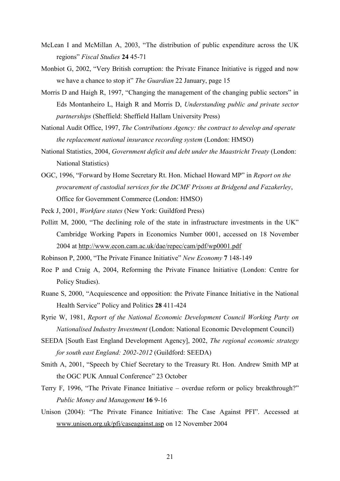- McLean I and McMillan A, 2003, "The distribution of public expenditure across the UK regions" *Fiscal Studies* **24** 45-71
- Monbiot G, 2002, "Very British corruption: the Private Finance Initiative is rigged and now we have a chance to stop it" *The Guardian* 22 January, page 15
- Morris D and Haigh R, 1997, "Changing the management of the changing public sectors" in Eds Montanheiro L, Haigh R and Morris D, *Understanding public and private sector partnerships* (Sheffield: Sheffield Hallam University Press)
- National Audit Office, 1997, *The Contributions Agency: the contract to develop and operate the replacement national insurance recording system* (London: HMSO)
- National Statistics, 2004, *Government deficit and debt under the Maastricht Treaty* (London: National Statistics)
- OGC, 1996, "Forward by Home Secretary Rt. Hon. Michael Howard MP" in *Report on the procurement of custodial services for the DCMF Prisons at Bridgend and Fazakerley*, Office for Government Commerce (London: HMSO)
- Peck J, 2001, *Workfare states* (New York: Guildford Press)
- Pollitt M, 2000, "The declining role of the state in infrastructure investments in the UK" Cambridge Working Papers in Economics Number 0001, accessed on 18 November 2004 at http://www.econ.cam.ac.uk/dae/repec/cam/pdf/wp0001.pdf
- Robinson P, 2000, "The Private Finance Initiative" *New Economy* **7** 148-149
- Roe P and Craig A, 2004, Reforming the Private Finance Initiative (London: Centre for Policy Studies).
- Ruane S, 2000, "Acquiescence and opposition: the Private Finance Initiative in the National Health Service" Policy and Politics **28** 411-424
- Ryrie W, 1981, *Report of the National Economic Development Council Working Party on Nationalised Industry Investment* (London: National Economic Development Council)
- SEEDA [South East England Development Agency], 2002, *The regional economic strategy for south east England: 2002-2012* (Guildford: SEEDA)
- Smith A, 2001, "Speech by Chief Secretary to the Treasury Rt. Hon. Andrew Smith MP at the OGC PUK Annual Conference" 23 October
- Terry F, 1996, "The Private Finance Initiative overdue reform or policy breakthrough?" *Public Money and Management* **16** 9-16
- Unison (2004): "The Private Finance Initiative: The Case Against PFI". Accessed at www.unison.org.uk/pfi/caseagainst.asp on 12 November 2004